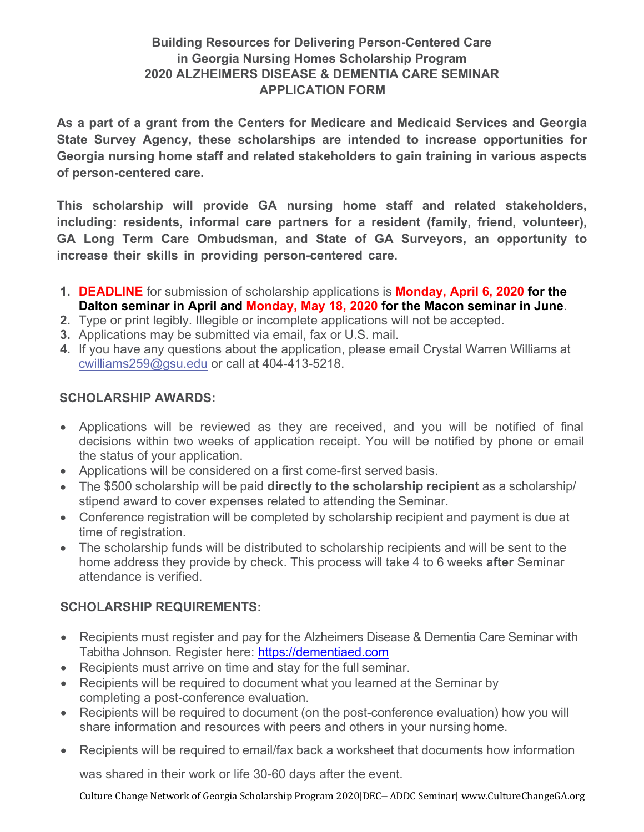## **Building Resources for Delivering Person-Centered Care in Georgia Nursing Homes Scholarship Program 2020 ALZHEIMERS DISEASE & DEMENTIA CARE SEMINAR APPLICATION FORM**

**As a part of a grant from the Centers for Medicare and Medicaid Services and Georgia State Survey Agency, these scholarships are intended to increase opportunities for Georgia nursing home staff and related stakeholders to gain training in various aspects of person-centered care.**

**This scholarship will provide GA nursing home staff and related stakeholders, including: residents, informal care partners for a resident (family, friend, volunteer), GA Long Term Care Ombudsman, and State of GA Surveyors, an opportunity to increase their skills in providing person-centered care.**

- **1. DEADLINE** for submission of scholarship applications is **Monday, April 6, 2020 for the Dalton seminar in April and Monday, May 18, 2020 for the Macon seminar in June**.
- **2.** Type or print legibly. Illegible or incomplete applications will not be accepted.
- **3.** Applications may be submitted via email, fax or U.S. mail.
- **4.** If you have any questions about the application, please email Crystal Warren Williams at [cwilliams259@gsu.edu](mailto:cwilliams259@gsu.edu) or call at 404-413-5218.

## **SCHOLARSHIP AWARDS:**

- Applications will be reviewed as they are received, and you will be notified of final decisions within two weeks of application receipt. You will be notified by phone or email the status of your application.
- Applications will be considered on a first come-first served basis.
- The \$500 scholarship will be paid **directly to the scholarship recipient** as a scholarship/ stipend award to cover expenses related to attending the Seminar.
- Conference registration will be completed by scholarship recipient and payment is due at time of registration.
- The scholarship funds will be distributed to scholarship recipients and will be sent to the home address they provide by check. This process will take 4 to 6 weeks **after** Seminar attendance is verified.

## **SCHOLARSHIP REQUIREMENTS:**

- Recipients must register and pay for the Alzheimers Disease & Dementia Care Seminar with Tabitha Johnson. Register here: [https://dementiae](https://dementiaed.com/)d.com
- Recipients must arrive on time and stay for the full seminar.
- Recipients will be required to document what you learned at the Seminar by completing a post-conference evaluation.
- Recipients will be required to document (on the post-conference evaluation) how you will share information and resources with peers and others in your nursing home.
- Recipients will be required to email/fax back a worksheet that documents how information

was shared in their work or life 30-60 days after the event.

Culture Change Network of Georgia Scholarship Program 2020|DEC– ADDC Seminar| www.CultureChangeGA.org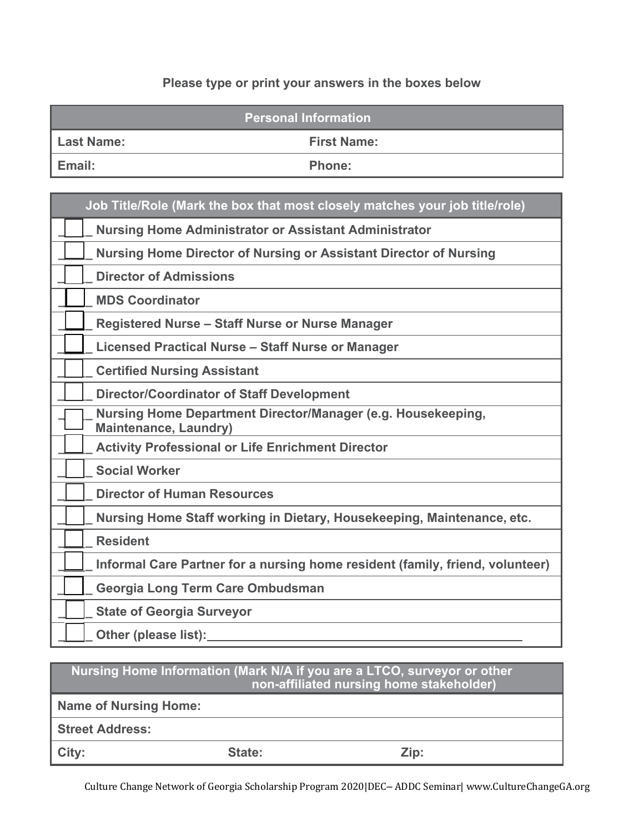# **Please type or print your answers in the boxes below**

| <b>Personal Information</b> |                    |  |  |  |
|-----------------------------|--------------------|--|--|--|
| <b>Last Name:</b>           | <b>First Name:</b> |  |  |  |
| 'Email:                     | <b>Phone:</b>      |  |  |  |

|  | Job Title/Role (Mark the box that most closely matches your job title/role)                  |
|--|----------------------------------------------------------------------------------------------|
|  | <b>Nursing Home Administrator or Assistant Administrator</b>                                 |
|  | <b>Nursing Home Director of Nursing or Assistant Director of Nursing</b>                     |
|  | <b>Director of Admissions</b>                                                                |
|  | <b>MDS Coordinator</b>                                                                       |
|  | <b>Registered Nurse - Staff Nurse or Nurse Manager</b>                                       |
|  | <b>Licensed Practical Nurse - Staff Nurse or Manager</b>                                     |
|  | <b>Certified Nursing Assistant</b>                                                           |
|  | <b>Director/Coordinator of Staff Development</b>                                             |
|  | Nursing Home Department Director/Manager (e.g. Housekeeping,<br><b>Maintenance, Laundry)</b> |
|  | <b>Activity Professional or Life Enrichment Director</b>                                     |
|  | <b>Social Worker</b>                                                                         |
|  | <b>Director of Human Resources</b>                                                           |
|  | Nursing Home Staff working in Dietary, Housekeeping, Maintenance, etc.                       |
|  | <b>Resident</b>                                                                              |
|  | Informal Care Partner for a nursing home resident (family, friend, volunteer)                |
|  | Georgia Long Term Care Ombudsman                                                             |
|  | <b>State of Georgia Surveyor</b>                                                             |
|  | Other (please list):                                                                         |

| Nursing Home Information (Mark N/A if you are a LTCO, surveyor or other<br>non-affiliated nursing home stakeholder) |        |      |  |  |  |
|---------------------------------------------------------------------------------------------------------------------|--------|------|--|--|--|
| <b>Name of Nursing Home:</b>                                                                                        |        |      |  |  |  |
| <b>Street Address:</b>                                                                                              |        |      |  |  |  |
| City:                                                                                                               | State: | Zip: |  |  |  |

Culture Change Network of Georgia Scholarship Program 2020|DEC– ADDC Seminar| www.CultureChangeGA.org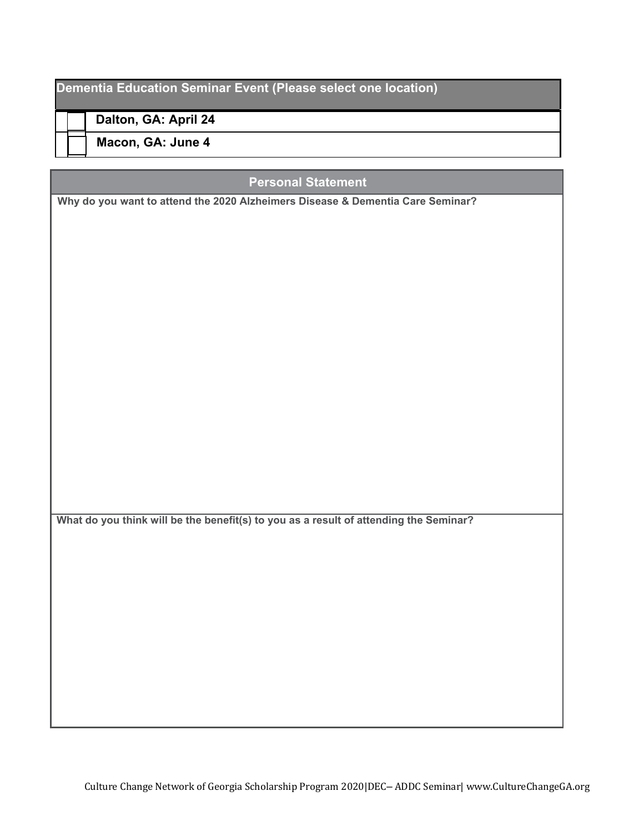## **Dementia Education Seminar Event (Please select one location)**

**Dalton, GA: April 24**

**Macon, GA: June 4**

## **Personal Statement**

**Why do you want to attend the 2020 Alzheimers Disease & Dementia Care Seminar?**

**What do you think will be the benefit(s) to you as a result of attending the Seminar?**